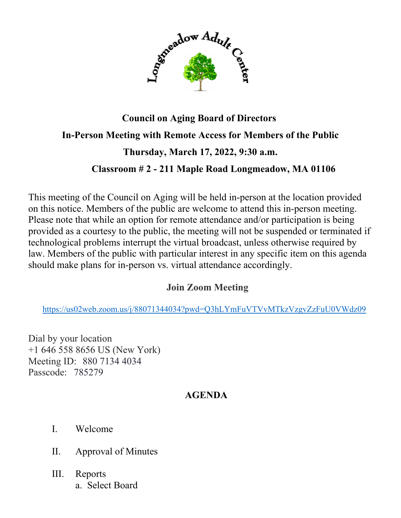

## **Council on Aging Board of Directors In-Person Meeting with Remote Access for Members of the Public Thursday, March 17, 2022, 9:30 a.m. Classroom # 2 - 211 Maple Road Longmeadow, MA 01106**

This meeting of the Council on Aging will be held in-person at the location provided on this notice. Members of the public are welcome to attend this in-person meeting. Please note that while an option for remote attendance and/or participation is being provided as a courtesy to the public, the meeting will not be suspended or terminated if technological problems interrupt the virtual broadcast, unless otherwise required by law. Members of the public with particular interest in any specific item on this agenda should make plans for in-person vs. virtual attendance accordingly.

## **Join Zoom Meeting**

<https://us02web.zoom.us/j/88071344034?pwd=Q3hLYmFuVTVvMTkzVzgvZzFuU0VWdz09>

Dial by your location +1 646 558 8656 US (New York) Meeting ID: 880 7134 4034 Passcode: 785279

## **AGENDA**

- I. Welcome
- II. Approval of Minutes
- III. Reports a. Select Board